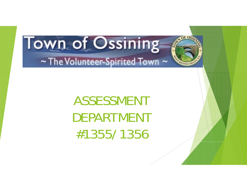ASSESSMENTDEPARTMENT#1355/1356

of Osc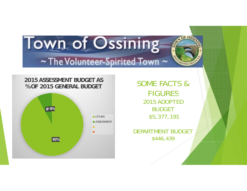#### **2015 ASSESSMENT BUDGET AS % OF 2015 GENERAL BUDGET**



SOME FACTS & **FIGURES** 2015 ADOPTED BUDGET\$5,377,191

of Os,

DEPARTMENT BUDGET \$446,439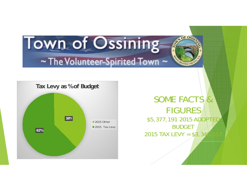

#### SOME FACTS & FIGURES**38% 38% 38% 38% 38% 38% 38% 38% 38% 38% 377,191 2015 ADOPTED** BUDGET 2015 TAX LEVY =  $$3,349$

of Osc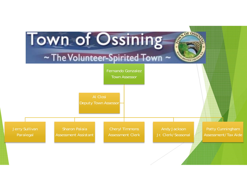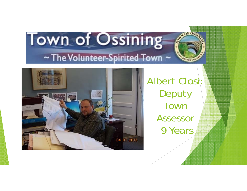

Albert Closi: Deputy Town Assessor9 Years

of Os,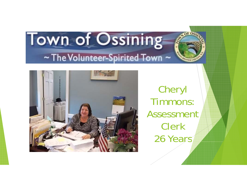

Cheryl Timmons:Assessment / Clerk26 Years

or os.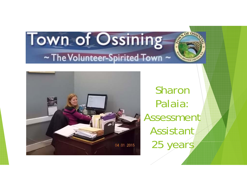

Sharon Palaia: Assessment Assistant25 years

of Os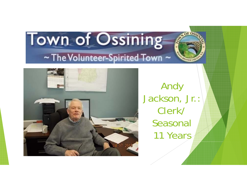

Andy Jackson, Jr.: Clerk/ Seasonal 11 Years

OF ON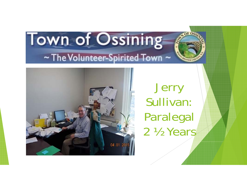

**Jerry** Sullivan: Paralegal 2 ½ Years

of Os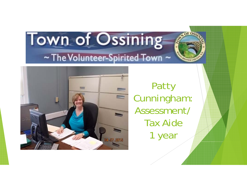

Patty Cunningham: Assessment/ Tax Aide1 year

of Os,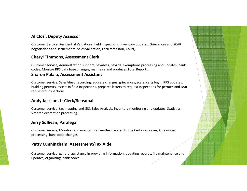#### **Al Closi, Deputy Assessor**

Customer Service, Residential Valuations, field inspections, inventory updates, Grievances and SCAR negotiations and settlements. Sales validation, Facilitates BAR, Court,

#### **Cheryl Timmons, Assessment Clerk**

Customer service, Administration support, payables, payroll. Exemptions processing and updates, bank codes. Monitor RPS data base changes, maintains and produces Total Reports.

#### **Sharon Palaia, Assessment Assistant**

Customer service, Sales/deed recording, address changes, grievances, scars, certs login, RPS updates, building permits, assists in field inspections, prepares letters to request inspections for permits and BAR requested inspections.

#### **Andy Jackson, Jr Clerk/Seasonal**

Customer service, tax mapping and GIS, Sales Analysis, Inventory monitoring and updates, Statistics, Veteran exemption processing.

#### **Jerry Sullivan, Paralegal**

Customer service, Monitors and maintains all matters related to the Certiorari cases, Grievances processing, bank code changes

#### **Patty Cunningham, Assessment/Tax Aide**

Customer service, general assistance in providing information, updating records, file maintenance and updates, organizing, bank codes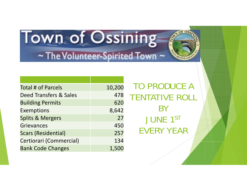

| <b>Total # of Parcels</b>   | 10,200 |
|-----------------------------|--------|
| Deed Transfers & Sales      | 478    |
| <b>Building Permits</b>     | 620    |
| <b>Exemptions</b>           | 8,642  |
| <b>Splits &amp; Mergers</b> | 27     |
| <b>Grievances</b>           | 450    |
| <b>Scars (Residential)</b>  | 257    |
| Certiorari (Commercial)     | 134    |
| <b>Bank Code Changes</b>    | 1,500  |

TO PRODUCE A TENTATIVE ROLL **BY** JUNE 1ST EVERY YEAR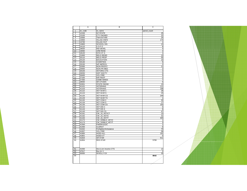|                 | A       | B                     | C            |
|-----------------|---------|-----------------------|--------------|
| 1               | ex_code | ex_name               | parcel_count |
| $\overline{2}$  | 12100   | <b>NY STATE</b>       | 25           |
| 3               | 13100   | <b>CTY OWNED</b>      |              |
| 4               | 13500   | <b>TWN WTHIN</b>      | 24           |
| 5               | 13650   | VILLAG OWN            | 174          |
| 6               | 13730   | <b>VILLAG OUT</b>     |              |
| $\overline{7}$  | 13800   | <b>SCHOOL DIS</b>     |              |
| 8               | 14110   | USPO                  |              |
| 9               | 18020   | <b>IND DEVEL</b>      |              |
| 10              | 18060   | URB RENE              |              |
| $\overline{11}$ | 18120   | <b>NYSHFA</b>         |              |
| 12              | 21600   | <b>RELG RESID</b>     |              |
| 13              | 25110   | <b>RELG PROP</b>      |              |
| 14              | 25120   | <b>EDUCATION</b>      |              |
| 15              | 25130   | <b>CHARITIES</b>      |              |
| 16              | 25230   | N/P IMPROV            |              |
| 17              | 25300   | NON-PROFIT            |              |
| 18              | 25600   | NON-PR MED            |              |
| 19              | 26100   | <b>VETORG CTS</b>     |              |
| 20              | 26250   |                       |              |
|                 |         | HIST SOCTY            |              |
| 21              | 26400   | <b>VOL FIRE</b>       |              |
| 22              | 27200   | <b>R/R PROP</b>       |              |
| 23              | 27350   | <b>CEMETARIES</b>     |              |
| 24              | 28550   | <b>SR CITIZEN</b>     |              |
| 25              | 32301   | <b>STATE OWND</b>     |              |
| 26              | 41101   | <b>VETERANS</b>       | 111          |
| 27              | 41103   | <b>VETERANS</b>       | 198          |
| 28              | 41122   | VET WAR C             |              |
| 29              | 41124   | <b>VET WARS</b>       |              |
| 30              | 41125   | <b>VET WAR CS</b>     | 249          |
| 31              | 41126   | <b>VET WAR TS</b>     |              |
| 32              | 41132   | VET COM C             |              |
| 33              | 41134   | VET COM S             |              |
| 34              | 41135   | VET COM CS            | 163          |
| 35              | 41142   | VET DIS C             |              |
| 36              | 41144   | <b>VET DIS S</b>      |              |
| 37              | 41145   | VET DIS CS            |              |
| 38              | 41161   | CW_15_VET/CT          |              |
| 39              | 41162   | CW_15_VET/C           |              |
| 40              | 41163   | CW_15_VET/T           | 304          |
| 41              | 41172   | CW_DISBLD_VET/C       |              |
| 42              | 41173   | CW DISBLD VET/T       |              |
| 43              | 41300   | PARAPLEGIC            |              |
| 44              | 41400   | <b>CLERGY</b>         |              |
| 45              | 41642   | Firefighter/Ambulance |              |
| 46              | 41657   | <b>VOL FIRE</b>       |              |
| 47              | 41800   | AGED-ALL              | 191          |
| 48              | 41801   | AGED-CT               |              |
| 49              | 41834   | <b>SR STAR</b>        | 911          |
| 50              | 41854   | <b>RES STAR</b>       | 5708         |
|                 |         |                       |              |
| 51              | 41930   | Dis & Lim Income CTS  |              |
| 52              | 47617   | Bus Im V              |              |
| 53              | 50000   | <b>WHOLLY EX</b>      |              |
| 54              |         |                       | 8642         |
|                 |         |                       |              |

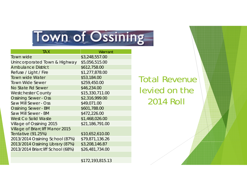#### Town of Ossining

| <b>TAX</b>                              | Warrant          |
|-----------------------------------------|------------------|
| Town wide                               | \$3,248,557.00   |
| Unincorporated Town & Highway           | \$5,056,515.00   |
| <b>Ambulance District</b>               | \$612,758.00     |
| Refuse / Light / Fire                   | \$1,277,878.00   |
| <b>Town wide Water</b>                  | \$53,184.00      |
| <b>Town Wide Sewer</b>                  | \$259,450.00     |
| No State Rd Sewer                       | \$46,234.00      |
| <b>Westchester County</b>               | \$15,330,711.00  |
| <b>Ossining Sewer - Oss</b>             | \$2,316,999.00   |
| Saw Mill Sewer - Oss                    | \$49,071.00      |
| <b>Ossining Sewer - BM</b>              | \$601,788.00     |
| Saw Mill Sewer - BM                     | \$472,226.00     |
| <b>West Co Solid Waste</b>              | \$1,468,026.00   |
| Village of Ossining 2015                | \$21,186,791.00  |
| <b>Village of Briarcliff Manor 2015</b> |                  |
| Tentative (91.25%)                      | \$10,652,610.00  |
| 2013/2014 Ossining School (87%)         | \$79,871,136.26  |
| 2013/2014 Ossining Library (87%)        | \$3,208,146.87   |
| 2013/2014 Briarcliff School (68%)       | \$26,481,734.00  |
|                                         |                  |
|                                         | \$172,193,815.13 |

Total Revenue levied on the 2014 Roll